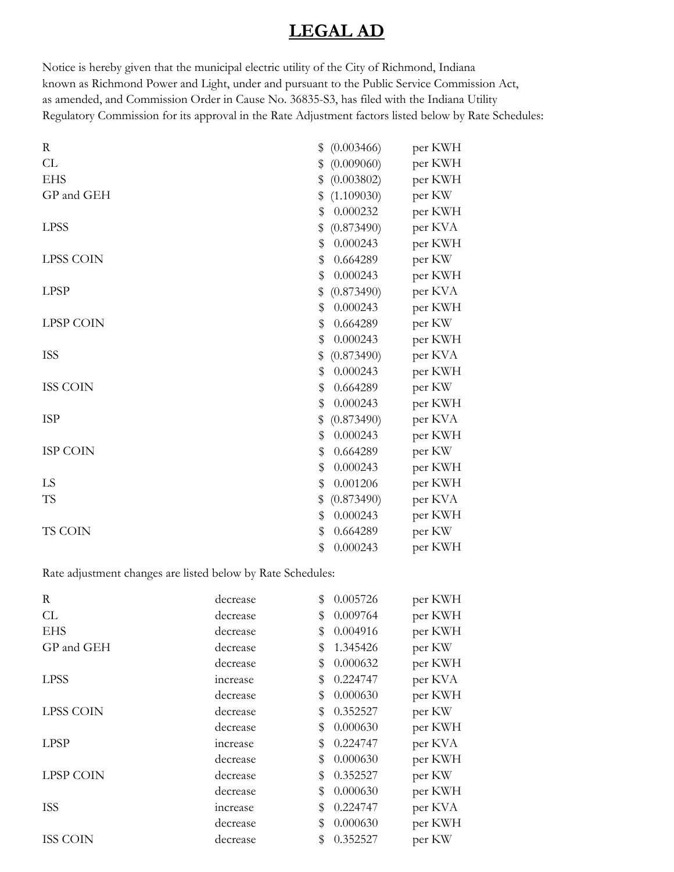## **LEGAL AD**

Notice is hereby given that the municipal electric utility of the City of Richmond, Indiana known as Richmond Power and Light, under and pursuant to the Public Service Commission Act, as amended, and Commission Order in Cause No. 36835-S3, has filed with the Indiana Utility Regulatory Commission for its approval in the Rate Adjustment factors listed below by Rate Schedules:

| (0.003466)<br>\$ | per KWH |
|------------------|---------|
| (0.009060)<br>\$ | per KWH |
| (0.003802)<br>\$ | per KWH |
| (1.109030)<br>\$ | per KW  |
| 0.000232<br>\$   | per KWH |
| (0.873490)<br>\$ | per KVA |
| \$<br>0.000243   | per KWH |
| 0.664289<br>\$   | per KW  |
| \$<br>0.000243   | per KWH |
| (0.873490)<br>\$ | per KVA |
| 0.000243<br>\$   | per KWH |
| 0.664289<br>\$   | per KW  |
| \$<br>0.000243   | per KWH |
| (0.873490)<br>\$ | per KVA |
| 0.000243<br>\$   | per KWH |
| 0.664289<br>\$   | per KW  |
| \$<br>0.000243   | per KWH |
| (0.873490)<br>\$ | per KVA |
| 0.000243<br>\$   | per KWH |
| \$<br>0.664289   | per KW  |
| \$<br>0.000243   | per KWH |
| \$<br>0.001206   | per KWH |
| (0.873490)<br>\$ | per KVA |
| 0.000243<br>\$   | per KWH |
| 0.664289<br>\$   | per KW  |
| \$<br>0.000243   | per KWH |
|                  |         |

Rate adjustment changes are listed below by Rate Schedules:

| R                | decrease | \$<br>0.005726 | per KWH |
|------------------|----------|----------------|---------|
| CL               | decrease | \$<br>0.009764 | per KWH |
| <b>EHS</b>       | decrease | \$<br>0.004916 | per KWH |
| GP and GEH       | decrease | \$<br>1.345426 | per KW  |
|                  | decrease | \$<br>0.000632 | per KWH |
| <b>LPSS</b>      | increase | \$<br>0.224747 | per KVA |
|                  | decrease | \$<br>0.000630 | per KWH |
| <b>LPSS COIN</b> | decrease | \$<br>0.352527 | per KW  |
|                  | decrease | \$<br>0.000630 | per KWH |
| <b>LPSP</b>      | increase | \$<br>0.224747 | per KVA |
|                  | decrease | \$<br>0.000630 | per KWH |
| <b>LPSP COIN</b> | decrease | \$<br>0.352527 | per KW  |
|                  | decrease | \$<br>0.000630 | per KWH |
| <b>ISS</b>       | increase | \$<br>0.224747 | per KVA |
|                  | decrease | \$<br>0.000630 | per KWH |
| <b>ISS COIN</b>  | decrease | \$<br>0.352527 | per KW  |